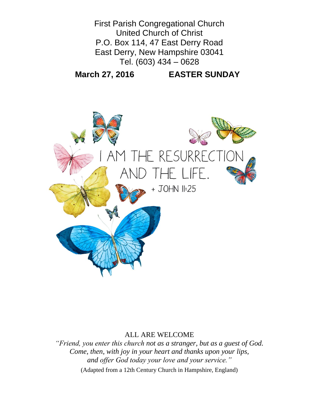

#### ALL ARE WELCOME

*"Friend, you enter this church not as a stranger, but as a guest of God. Come, then, with joy in your heart and thanks upon your lips, and offer God today your love and your service."* (Adapted from a 12th Century Church in Hampshire, England)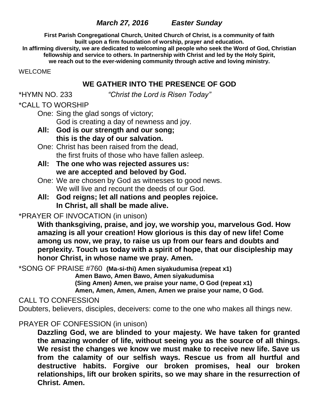## *March 27, 2016 Easter Sunday*

**First Parish Congregational Church, United Church of Christ, is a community of faith built upon a firm foundation of worship, prayer and education.**

**In affirming diversity, we are dedicated to welcoming all people who seek the Word of God, Christian fellowship and service to others. In partnership with Christ and led by the Holy Spirit,**

**we reach out to the ever-widening community through active and loving ministry.**

WELCOME

### **WE GATHER INTO THE PRESENCE OF GOD**

\*HYMN NO. 233 *"Christ the Lord is Risen Today"*

## \*CALL TO WORSHIP

One: Sing the glad songs of victory; God is creating a day of newness and joy.

- **All: God is our strength and our song; this is the day of our salvation.**
- One: Christ has been raised from the dead, the first fruits of those who have fallen asleep.
- **All: The one who was rejected assures us: we are accepted and beloved by God.**
- One: We are chosen by God as witnesses to good news. We will live and recount the deeds of our God.
- **All: God reigns; let all nations and peoples rejoice. In Christ, all shall be made alive.**

# \*PRAYER OF INVOCATION (in unison)

**With thanksgiving, praise, and joy, we worship you, marvelous God. How amazing is all your creation! How glorious is this day of new life! Come among us now, we pray, to raise us up from our fears and doubts and perplexity. Touch us today with a spirit of hope, that our discipleship may honor Christ, in whose name we pray. Amen.**

\*SONG OF PRAISE #760 **(Ma-si-thi) Amen siyakudumisa (repeat x1)**

**Amen Bawo, Amen Bawo, Amen siyakudumisa (Sing Amen) Amen, we praise your name, O God (repeat x1) Amen, Amen, Amen, Amen, Amen we praise your name, O God.**

## CALL TO CONFESSION

Doubters, believers, disciples, deceivers: come to the one who makes all things new.

## PRAYER OF CONFESSION (in unison)

**Dazzling God, we are blinded to your majesty. We have taken for granted the amazing wonder of life, without seeing you as the source of all things. We resist the changes we know we must make to receive new life. Save us from the calamity of our selfish ways. Rescue us from all hurtful and destructive habits. Forgive our broken promises, heal our broken relationships, lift our broken spirits, so we may share in the resurrection of Christ. Amen.**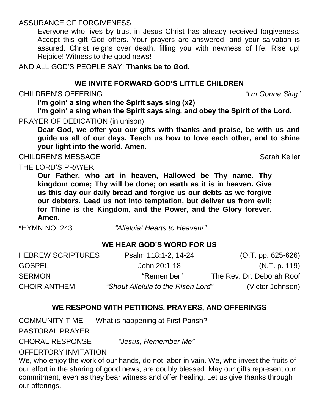# ASSURANCE OF FORGIVENESS

Everyone who lives by trust in Jesus Christ has already received forgiveness. Accept this gift God offers. Your prayers are answered, and your salvation is assured. Christ reigns over death, filling you with newness of life. Rise up! Rejoice! Witness to the good news!

AND ALL GOD'S PEOPLE SAY: **Thanks be to God.**

## **WE INVITE FORWARD GOD'S LITTLE CHILDREN**

## CHILDREN'S OFFERING *"I'm Gonna Sing"*

**I'm goin' a sing when the Spirit says sing (x2)**

**I'm goin' a sing when the Spirit says sing, and obey the Spirit of the Lord.** PRAYER OF DEDICATION (in unison)

**Dear God, we offer you our gifts with thanks and praise, be with us and guide us all of our days. Teach us how to love each other, and to shine your light into the world. Amen.**

CHILDREN'S MESSAGE Sarah Keller

# THE LORD'S PRAYER

**Our Father, who art in heaven, Hallowed be Thy name. Thy kingdom come; Thy will be done; on earth as it is in heaven. Give us this day our daily bread and forgive us our debts as we forgive our debtors. Lead us not into temptation, but deliver us from evil; for Thine is the Kingdom, and the Power, and the Glory forever. Amen.** 

\*HYMN NO. 243 *"Alleluia! Hearts to Heaven!"*

# **WE HEAR GOD'S WORD FOR US**

| <b>HEBREW SCRIPTURES</b> | Psalm 118:1-2, 14-24               | $(O.T. pp. 625-626)$      |
|--------------------------|------------------------------------|---------------------------|
| <b>GOSPEL</b>            | John 20:1-18                       | (N.T. p. 119)             |
| <b>SERMON</b>            | "Remember"                         | The Rev. Dr. Deborah Roof |
| <b>CHOIR ANTHEM</b>      | "Shout Alleluia to the Risen Lord" | (Victor Johnson)          |

## **WE RESPOND WITH PETITIONS, PRAYERS, AND OFFERINGS**

COMMUNITY TIME What is happening at First Parish?

PASTORAL PRAYER

CHORAL RESPONSE *"Jesus, Remember Me"* 

#### OFFERTORY INVITATION

We, who enjoy the work of our hands, do not labor in vain. We, who invest the fruits of our effort in the sharing of good news, are doubly blessed. May our gifts represent our commitment, even as they bear witness and offer healing. Let us give thanks through our offerings.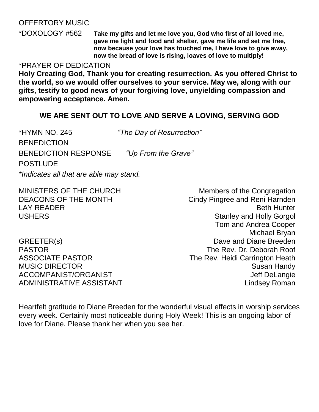## OFFERTORY MUSIC

\*DOXOLOGY #562 **Take my gifts and let me love you, God who first of all loved me, gave me light and food and shelter, gave me life and set me free, now because your love has touched me, I have love to give away, now the bread of love is rising, loaves of love to multiply!**

#### \*PRAYER OF DEDICATION

**Holy Creating God, Thank you for creating resurrection. As you offered Christ to the world, so we would offer ourselves to your service. May we, along with our gifts, testify to good news of your forgiving love, unyielding compassion and empowering acceptance. Amen.**

#### **WE ARE SENT OUT TO LOVE AND SERVE A LOVING, SERVING GOD**

\*HYMN NO. 245 *"The Day of Resurrection"* **BENEDICTION** BENEDICTION RESPONSE *"Up From the Grave"* POSTLUDE *\*Indicates all that are able may stand.*

MINISTERS OF THE CHURCH Members of the Congregation

DEACONS OF THE MONTH Cindy Pingree and Reni Harnden LAY READER **BETT AND A READER BETT AND READER BETT A** READER USHERS **Stanley and Holly Gorgol** Tom and Andrea Cooper Michael Bryan GREETER(s) GREETER(s) PASTOR The Rev. Dr. Deborah Roof ASSOCIATE PASTOR The Rev. Heidi Carrington Heath MUSIC DIRECTOR Susan Handy ACCOMPANIST/ORGANIST ACCOMPANIST/ORGANIST ADMINISTRATIVE ASSISTANT AND THE Lindsey Roman

Heartfelt gratitude to Diane Breeden for the wonderful visual effects in worship services every week. Certainly most noticeable during Holy Week! This is an ongoing labor of love for Diane. Please thank her when you see her.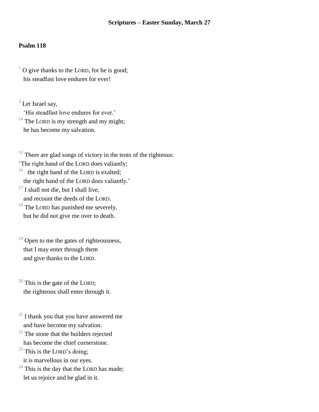#### **Scriptures – Easter Sunday, March 27**

#### **Psalm 118**

 $1$  O give thanks to the LORD, for he is good; his steadfast love endures for ever!

 $2$  Let Israel say,

'His steadfast love endures for ever.'

 $14$  The LORD is my strength and my might; he has become my salvation.

 $15$  There are glad songs of victory in the tents of the righteous:

'The right hand of the LORD does valiantly;

16 the right hand of the LORD is exalted;

the right hand of the LORD does valiantly.'

 $17$  I shall not die, but I shall live, and recount the deeds of the LORD.

 $18$  The LORD has punished me severely, but he did not give me over to death.

 $19$  Open to me the gates of righteousness, that I may enter through them and give thanks to the LORD.

 $20$  This is the gate of the LORD; the righteous shall enter through it.

 $21$  I thank you that you have answered me and have become my salvation.

 $22$  The stone that the builders rejected

has become the chief cornerstone.

 $23$  This is the LORD's doing;

it is marvellous in our eyes.

 $24$  This is the day that the LORD has made; let us rejoice and be glad in it.